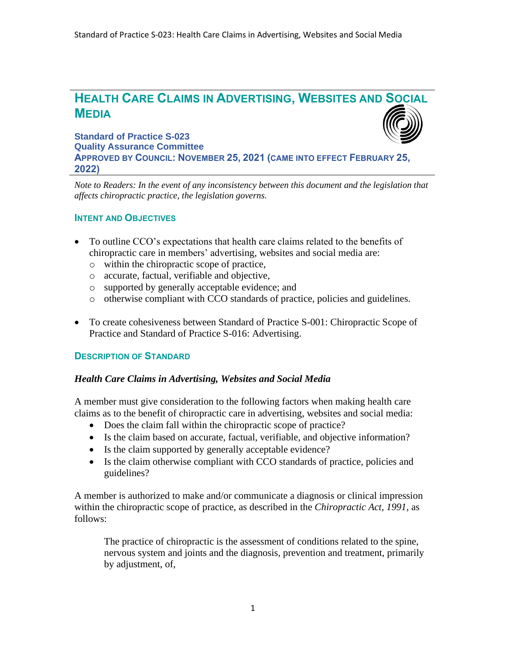# **HEALTH CARE CLAIMS IN ADVERTISING, WEBSITES AND SOCIAL MEDIA**

**Standard of Practice S-023 Quality Assurance Committee APPROVED BY COUNCIL: NOVEMBER 25, 2021 (CAME INTO EFFECT FEBRUARY 25, 2022)**

*Note to Readers: In the event of any inconsistency between this document and the legislation that affects chiropractic practice, the legislation governs.*

# **INTENT AND OBJECTIVES**

- To outline CCO's expectations that health care claims related to the benefits of chiropractic care in members' advertising, websites and social media are:
	- o within the chiropractic scope of practice,
	- o accurate, factual, verifiable and objective,
	- o supported by generally acceptable evidence; and
	- o otherwise compliant with CCO standards of practice, policies and guidelines.
- To create cohesiveness between Standard of Practice S-001: Chiropractic Scope of Practice and Standard of Practice S-016: Advertising.

# **DESCRIPTION OF STANDARD**

#### *Health Care Claims in Advertising, Websites and Social Media*

A member must give consideration to the following factors when making health care claims as to the benefit of chiropractic care in advertising, websites and social media:

- Does the claim fall within the chiropractic scope of practice?
- Is the claim based on accurate, factual, verifiable, and objective information?
- Is the claim supported by generally acceptable evidence?
- Is the claim otherwise compliant with CCO standards of practice, policies and guidelines?

A member is authorized to make and/or communicate a diagnosis or clinical impression within the chiropractic scope of practice, as described in the *Chiropractic Act, 1991*, as follows:

The practice of chiropractic is the assessment of conditions related to the spine, nervous system and joints and the diagnosis, prevention and treatment, primarily by adjustment, of,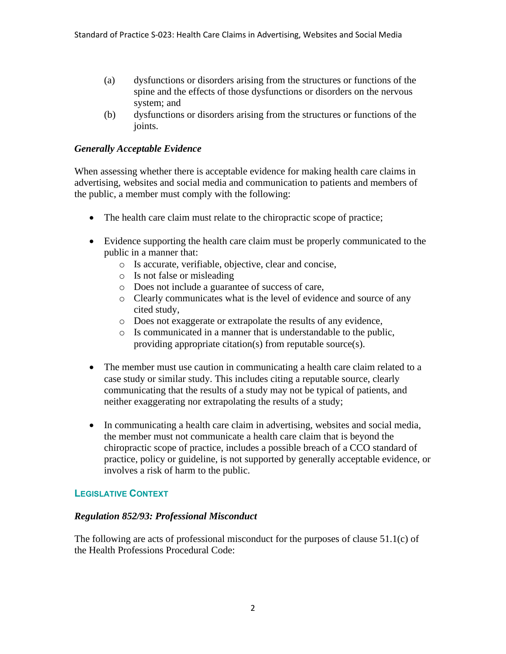- (a) dysfunctions or disorders arising from the structures or functions of the spine and the effects of those dysfunctions or disorders on the nervous system; and
- (b) dysfunctions or disorders arising from the structures or functions of the joints.

# *Generally Acceptable Evidence*

When assessing whether there is acceptable evidence for making health care claims in advertising, websites and social media and communication to patients and members of the public, a member must comply with the following:

- The health care claim must relate to the chiropractic scope of practice;
- Evidence supporting the health care claim must be properly communicated to the public in a manner that:
	- o Is accurate, verifiable, objective, clear and concise,
	- o Is not false or misleading
	- o Does not include a guarantee of success of care,
	- o Clearly communicates what is the level of evidence and source of any cited study,
	- o Does not exaggerate or extrapolate the results of any evidence,
	- o Is communicated in a manner that is understandable to the public, providing appropriate citation(s) from reputable source(s).
- The member must use caution in communicating a health care claim related to a case study or similar study. This includes citing a reputable source, clearly communicating that the results of a study may not be typical of patients, and neither exaggerating nor extrapolating the results of a study;
- In communicating a health care claim in advertising, websites and social media, the member must not communicate a health care claim that is beyond the chiropractic scope of practice, includes a possible breach of a CCO standard of practice, policy or guideline, is not supported by generally acceptable evidence, or involves a risk of harm to the public.

# **LEGISLATIVE CONTEXT**

# *Regulation 852/93: Professional Misconduct*

The following are acts of professional misconduct for the purposes of clause 51.1(c) of the Health Professions Procedural Code: